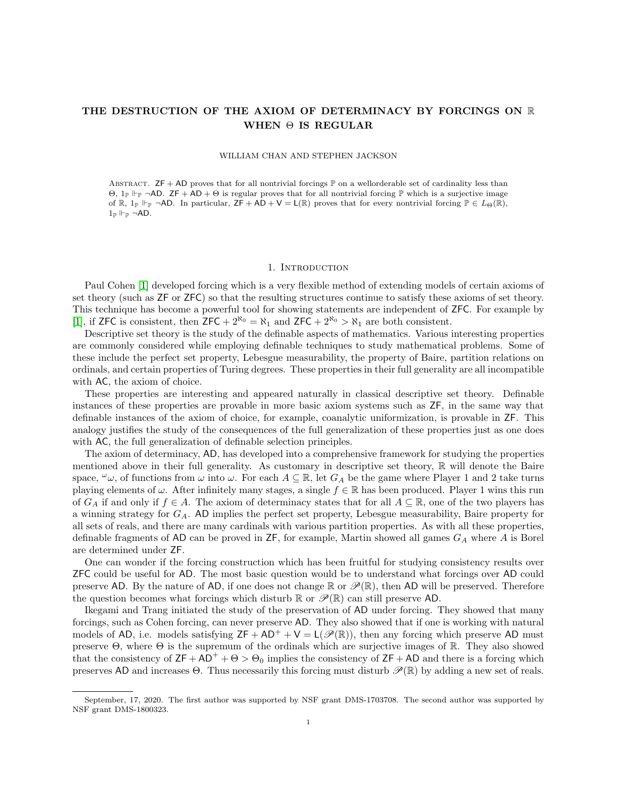# THE DESTRUCTION OF THE AXIOM OF DETERMINACY BY FORCINGS ON R WHEN  $\Theta$  IS REGULAR

#### WILLIAM CHAN AND STEPHEN JACKSON

ABSTRACT.  $ZF + AD$  proves that for all nontrivial forcings  $\mathbb P$  on a wellorderable set of cardinality less than  $\Theta$ , 1<sub>P</sub>  $\vdash$  <sub>P</sub>  $\neg$ AD. **ZF** + AD +  $\Theta$  is regular proves that for all nontrivial forcing  $\mathbb P$  which is a surjective image of  $\mathbb{R}$ ,  $1_{\mathbb{P}} \Vdash_{\mathbb{P}} \neg AD$ . In particular,  $\mathsf{ZF} + \mathsf{AD} + \mathsf{V} = \mathsf{L}(\mathbb{R})$  proves that for every nontrivial forcing  $\mathbb{P} \in L_{\Theta}(\mathbb{R})$ ,  $1_{\mathbb{P}} \Vdash_{\mathbb{P}} \neg AD$ .

#### 1. Introduction

Paul Cohen [\[1\]](#page-9-0) developed forcing which is a very flexible method of extending models of certain axioms of set theory (such as ZF or ZFC) so that the resulting structures continue to satisfy these axioms of set theory. This technique has become a powerful tool for showing statements are independent of ZFC. For example by [\[1\]](#page-9-0), if ZFC is consistent, then  $ZFC + 2^{\aleph_0} = \aleph_1$  and  $ZFC + 2^{\aleph_0} > \aleph_1$  are both consistent.

Descriptive set theory is the study of the definable aspects of mathematics. Various interesting properties are commonly considered while employing definable techniques to study mathematical problems. Some of these include the perfect set property, Lebesgue measurability, the property of Baire, partition relations on ordinals, and certain properties of Turing degrees. These properties in their full generality are all incompatible with AC, the axiom of choice.

These properties are interesting and appeared naturally in classical descriptive set theory. Definable instances of these properties are provable in more basic axiom systems such as ZF, in the same way that definable instances of the axiom of choice, for example, coanalytic uniformization, is provable in ZF. This analogy justifies the study of the consequences of the full generalization of these properties just as one does with AC, the full generalization of definable selection principles.

The axiom of determinacy, AD, has developed into a comprehensive framework for studying the properties mentioned above in their full generality. As customary in descriptive set theory,  $\mathbb R$  will denote the Baire space,  $\omega_{\omega}$ , of functions from  $\omega$  into  $\omega$ . For each  $A \subseteq \mathbb{R}$ , let  $G_A$  be the game where Player 1 and 2 take turns playing elements of  $\omega$ . After infinitely many stages, a single  $f \in \mathbb{R}$  has been produced. Player 1 wins this run of  $G_A$  if and only if  $f \in A$ . The axiom of determinacy states that for all  $A \subseteq \mathbb{R}$ , one of the two players has a winning strategy for  $G_A$ . AD implies the perfect set property, Lebesgue measurability, Baire property for all sets of reals, and there are many cardinals with various partition properties. As with all these properties, definable fragments of AD can be proved in  $ZF$ , for example, Martin showed all games  $G_A$  where A is Borel are determined under ZF.

One can wonder if the forcing construction which has been fruitful for studying consistency results over ZFC could be useful for AD. The most basic question would be to understand what forcings over AD could preserve AD. By the nature of AD, if one does not change R or  $\mathscr{P}(\mathbb{R})$ , then AD will be preserved. Therefore the question becomes what forcings which disturb  $\mathbb R$  or  $\mathscr P(\mathbb R)$  can still preserve AD.

Ikegami and Trang initiated the study of the preservation of AD under forcing. They showed that many forcings, such as Cohen forcing, can never preserve AD. They also showed that if one is working with natural models of AD, i.e. models satisfying  $ZF + AD^+ + V = L(\mathscr{P}(\mathbb{R}))$ , then any forcing which preserve AD must preserve  $\Theta$ , where  $\Theta$  is the supremum of the ordinals which are surjective images of  $\mathbb{R}$ . They also showed that the consistency of  $ZF + AD^+ + \Theta > \Theta_0$  implies the consistency of  $ZF + AD$  and there is a forcing which preserves AD and increases  $\Theta$ . Thus necessarily this forcing must disturb  $\mathscr{P}(\mathbb{R})$  by adding a new set of reals.

September, 17, 2020. The first author was supported by NSF grant DMS-1703708. The second author was supported by NSF grant DMS-1800323.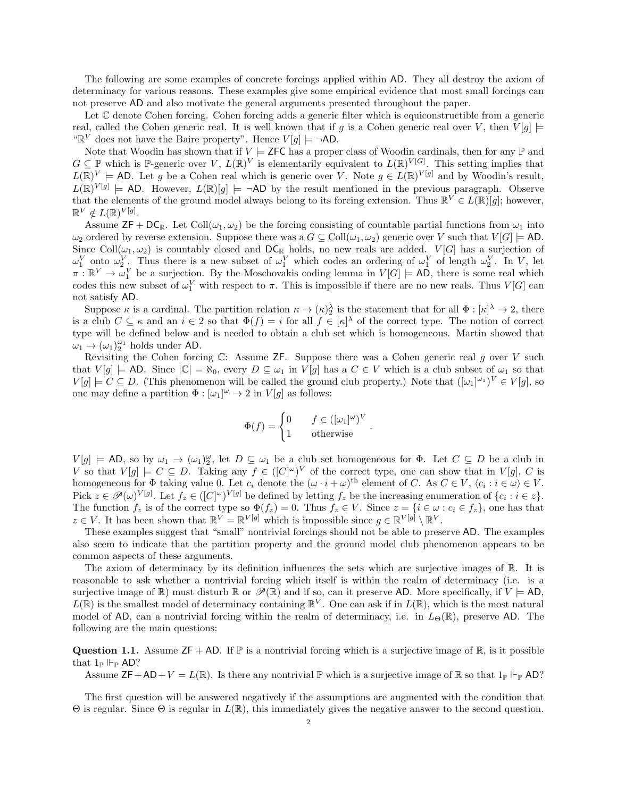The following are some examples of concrete forcings applied within AD. They all destroy the axiom of determinacy for various reasons. These examples give some empirical evidence that most small forcings can not preserve AD and also motivate the general arguments presented throughout the paper.

Let C denote Cohen forcing. Cohen forcing adds a generic filter which is equiconstructible from a generic real, called the Cohen generic real. It is well known that if g is a Cohen generic real over V, then  $V[g] \models$ " $\mathbb{R}^V$  does not have the Baire property". Hence  $V[g] \models \neg AD$ .

Note that Woodin has shown that if  $V \models$  ZFC has a proper class of Woodin cardinals, then for any  $\mathbb P$  and  $G \subseteq \mathbb{P}$  which is P-generic over V,  $L(\mathbb{R})^V$  is elementarily equivalent to  $L(\mathbb{R})^{V[G]}$ . This setting implies that  $L(\mathbb{R})^V \models$  AD. Let g be a Cohen real which is generic over V. Note  $g \in L(\mathbb{R})^{\mathrm{V}[g]}$  and by Woodin's result,  $L(\mathbb{R})^{V[g]} \models$  AD. However,  $L(\mathbb{R})[g] \models \neg AD$  by the result mentioned in the previous paragraph. Observe that the elements of the ground model always belong to its forcing extension. Thus  $\mathbb{R}^V \in L(\mathbb{R})[g]$ ; however,  $\mathbb{R}^V \notin L(\mathbb{R})^{V[g]}$ .

Assume  $\mathsf{ZF} + \mathsf{DC}_{\mathbb{R}}$ . Let  $\text{Coll}(\omega_1, \omega_2)$  be the forcing consisting of countable partial functions from  $\omega_1$  into  $\omega_2$  ordered by reverse extension. Suppose there was a  $G \subseteq \text{Coll}(\omega_1, \omega_2)$  generic over V such that  $V[G] \models$  AD. Since Coll $(\omega_1, \omega_2)$  is countably closed and  $DC_R$  holds, no new reals are added.  $V[G]$  has a surjection of  $\omega_1^V$  onto  $\omega_2^V$ . Thus there is a new subset of  $\omega_1^V$  which codes an ordering of  $\omega_1^V$  of length  $\omega_2^V$ . In V, let  $\pi : \mathbb{R}^V \to \omega_1^V$  be a surjection. By the Moschovakis coding lemma in  $V[G] \models \text{AD}$ , there is some real which codes this new subset of  $\omega_1^V$  with respect to  $\pi$ . This is impossible if there are no new reals. Thus  $V[G]$  can not satisfy AD.

Suppose  $\kappa$  is a cardinal. The partition relation  $\kappa \to (\kappa)^{\lambda}$  is the statement that for all  $\Phi : [\kappa]^{\lambda} \to 2$ , there is a club  $C \subseteq \kappa$  and an  $i \in 2$  so that  $\Phi(f) = i$  for all  $f \in [\kappa]^{\lambda}$  of the correct type. The notion of correct type will be defined below and is needed to obtain a club set which is homogeneous. Martin showed that  $\omega_1 \rightarrow (\omega_1)_2^{\omega_1}$  holds under AD.

Revisiting the Cohen forcing  $\mathbb{C}$ : Assume ZF. Suppose there was a Cohen generic real g over V such that  $V[g] \models$  AD. Since  $|\mathbb{C}| = \aleph_0$ , every  $D \subseteq \omega_1$  in  $V[g]$  has a  $C \in V$  which is a club subset of  $\omega_1$  so that  $V[g] \models C \subseteq D$ . (This phenomenon will be called the ground club property.) Note that  $([\omega_1]^{\omega_1})^V \in V[g]$ , so one may define a partition  $\Phi : [\omega_1]^\omega \to 2$  in  $V[g]$  as follows:

$$
\Phi(f) = \begin{cases} 0 & f \in ([\omega_1]^\omega)^V \\ 1 & \text{otherwise} \end{cases}
$$

.

 $V[g] \models \text{AD}$ , so by  $\omega_1 \to (\omega_1)_2^{\omega}$ , let  $D \subseteq \omega_1$  be a club set homogeneous for  $\Phi$ . Let  $C \subseteq D$  be a club in V so that  $V[g] \models C \subseteq D$ . Taking any  $f \in ([C]^\omega)^V$  of the correct type, one can show that in  $V[g]$ , C is homogeneous for  $\Phi$  taking value 0. Let  $c_i$  denote the  $(\omega \cdot i + \omega)^{\text{th}}$  element of C. As  $C \in V$ ,  $\langle c_i : i \in \omega \rangle \in V$ . Pick  $z \in \mathscr{P}(\omega)^{V[g]}$ . Let  $f_z \in ([C]^\omega)^{V[g]}$  be defined by letting  $f_z$  be the increasing enumeration of  $\{c_i : i \in z\}$ . The function  $f_z$  is of the correct type so  $\Phi(f_z) = 0$ . Thus  $f_z \in V$ . Since  $z = \{i \in \omega : c_i \in f_z\}$ , one has that  $z \in V$ . It has been shown that  $\mathbb{R}^V = \mathbb{R}^{V[g]}$  which is impossible since  $g \in \mathbb{R}^{V[g]} \setminus \mathbb{R}^V$ .

These examples suggest that "small" nontrivial forcings should not be able to preserve AD. The examples also seem to indicate that the partition property and the ground model club phenomenon appears to be common aspects of these arguments.

The axiom of determinacy by its definition influences the sets which are surjective images of R. It is reasonable to ask whether a nontrivial forcing which itself is within the realm of determinacy (i.e. is a surjective image of  $\mathbb{R}$ ) must disturb  $\mathbb{R}$  or  $\mathscr{P}(\mathbb{R})$  and if so, can it preserve AD. More specifically, if  $V \models$  AD,  $L(\mathbb{R})$  is the smallest model of determinacy containing  $\mathbb{R}^V$ . One can ask if in  $L(\mathbb{R})$ , which is the most natural model of AD, can a nontrivial forcing within the realm of determinacy, i.e. in  $L_{\Theta}(\mathbb{R})$ , preserve AD. The following are the main questions:

**Question 1.1.** Assume  $ZF + AD$ . If  $\mathbb P$  is a nontrivial forcing which is a surjective image of  $\mathbb R$ , is it possible that  $1_P \Vdash_{\mathbb{P}} \mathsf{AD}$ ?

Assume  $\mathsf{ZF} + \mathsf{AD} + V = L(\mathbb{R})$ . Is there any nontrivial  $\mathbb P$  which is a surjective image of  $\mathbb R$  so that  $1_{\mathbb P} \Vdash_{\mathbb P} \mathsf{AD}$ ?

The first question will be answered negatively if the assumptions are augmented with the condition that Θ is regular. Since Θ is regular in L(R), this immediately gives the negative answer to the second question.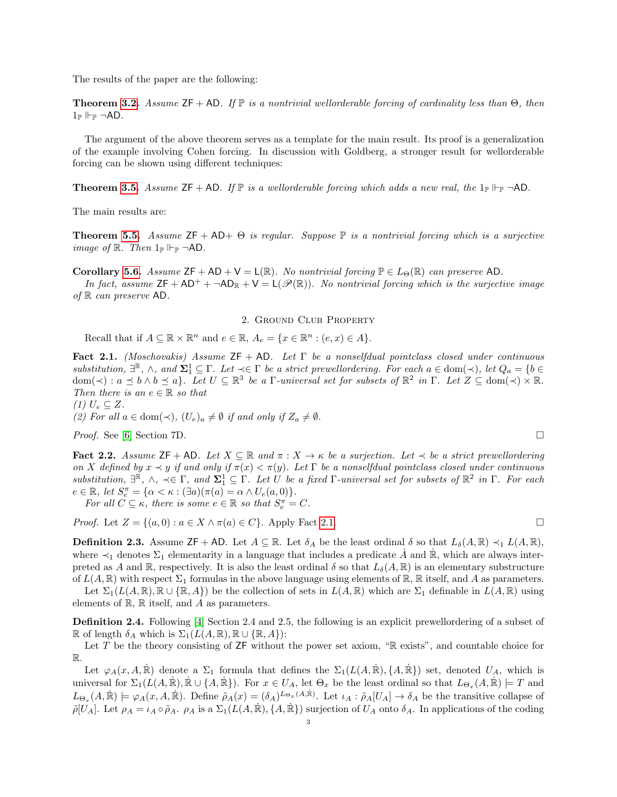The results of the paper are the following:

**Theorem [3.2.](#page-4-0)** Assume  $ZF + AD$ . If  $\mathbb P$  is a nontrivial wellorderable forcing of cardinality less than  $\Theta$ , then  $1_{\mathbb{P}} \Vdash_{\mathbb{P}} \neg AD$ .

The argument of the above theorem serves as a template for the main result. Its proof is a generalization of the example involving Cohen forcing. In discussion with Goldberg, a stronger result for wellorderable forcing can be shown using different techniques:

**Theorem [3.5.](#page-5-0)** Assume  $ZF + AD$ . If  $\mathbb P$  is a wellorderable forcing which adds a new real, the  $1_{\mathbb P} \vdash_{\mathbb P} \neg AD$ .

The main results are:

**Theorem [5.5.](#page-9-1)** Assume  $ZF + AD + \Theta$  is regular. Suppose  $\mathbb P$  is a nontrivial forcing which is a surjective *image of*  $\mathbb{R}$ . Then  $1_{\mathbb{P}}$   $\vdash_{\mathbb{P}} \neg AD$ .

Corollary [5.6.](#page-9-2) Assume  $ZF + AD + V = L(\mathbb{R})$ . No nontrivial forcing  $\mathbb{P} \in L_{\Theta}(\mathbb{R})$  can preserve AD.

In fact, assume  $\mathsf{ZF} + \mathsf{AD}^+ + \neg \mathsf{AD}_\mathbb{R} + \mathsf{V} = \mathsf{L}(\mathscr{P}(\mathbb{R}))$ . No nontrivial forcing which is the surjective image of  $\mathbb R$  can preserve AD.

# 2. Ground Club Property

Recall that if  $A \subseteq \mathbb{R} \times \mathbb{R}^n$  and  $e \in \mathbb{R}$ ,  $A_e = \{x \in \mathbb{R}^n : (e, x) \in A\}.$ 

<span id="page-2-0"></span>Fact 2.1. (Moschovakis) Assume  $ZF + AD$ . Let  $\Gamma$  be a nonselfdual pointclass closed under continuous substitution,  $\exists^{\mathbb{R}}, \wedge$ , and  $\Sigma_1^1 \subseteq \Gamma$ . Let  $\prec \in \Gamma$  be a strict prewellordering. For each  $a \in \text{dom}(\prec)$ , let  $Q_a = \{b \in \mathbb{R}^d : |b| \leq 1\}$  $dom(\prec) : a \preceq b \wedge b \preceq a$ . Let  $U \subseteq \mathbb{R}^3$  be a  $\Gamma$ -universal set for subsets of  $\mathbb{R}^2$  in  $\Gamma$ . Let  $Z \subseteq dom(\prec) \times \mathbb{R}$ . Then there is an  $e \in \mathbb{R}$  so that

 $(1) U_e \subseteq Z$ .

(2) For all  $a \in \text{dom}(\prec)$ ,  $(U_e)_a \neq \emptyset$  if and only if  $Z_a \neq \emptyset$ .

*Proof.* See [\[6\]](#page-10-0) Section 7D.

<span id="page-2-1"></span>Fact 2.2. Assume  $\mathsf{ZF} + \mathsf{AD}$ . Let  $X \subseteq \mathbb{R}$  and  $\pi : X \to \kappa$  be a surjection. Let  $\prec$  be a strict prewellordering on X defined by  $x \prec y$  if and only if  $\pi(x) < \pi(y)$ . Let  $\Gamma$  be a nonselfdual pointclass closed under continuous substitution,  $\exists^{\mathbb{R}}, \wedge, \prec \in \Gamma$ , and  $\Sigma_1^1 \subseteq \Gamma$ . Let U be a fixed  $\Gamma$ -universal set for subsets of  $\mathbb{R}^2$  in  $\Gamma$ . For each  $e \in \mathbb{R}, \text{ let } S_e^{\pi} = \{ \alpha < \kappa : (\exists a)(\pi(a) = \alpha \wedge U_e(a, 0)) \}.$ 

For all  $C \subseteq \kappa$ , there is some  $e \in \mathbb{R}$  so that  $S_e^{\pi} = C$ .

*Proof.* Let  $Z = \{(a, 0) : a \in X \land \pi(a) \in C\}$ . Apply Fact [2.1.](#page-2-0)

**Definition 2.3.** Assume  $\mathsf{ZF} + \mathsf{AD}$ . Let  $A \subseteq \mathbb{R}$ . Let  $\delta_A$  be the least ordinal  $\delta$  so that  $L_{\delta}(A, \mathbb{R}) \prec_1 L(A, \mathbb{R})$ , where  $\prec_1$  denotes  $\Sigma_1$  elementarity in a language that includes a predicate  $\dot{A}$  and  $\dot{R}$ , which are always interpreted as A and R, respectively. It is also the least ordinal  $\delta$  so that  $L_{\delta}(A,\mathbb{R})$  is an elementary substructure of  $L(A, \mathbb{R})$  with respect  $\Sigma_1$  formulas in the above language using elements of  $\mathbb{R}, \mathbb{R}$  itself, and A as parameters.

Let  $\Sigma_1(L(A,\mathbb{R}),\mathbb{R}\cup\{\mathbb{R},A\})$  be the collection of sets in  $L(A,\mathbb{R})$  which are  $\Sigma_1$  definable in  $L(A,\mathbb{R})$  using elements of  $\mathbb{R}$ ,  $\mathbb{R}$  itself, and A as parameters.

<span id="page-2-2"></span>Definition 2.4. Following [\[4\]](#page-10-1) Section 2.4 and 2.5, the following is an explicit prewellordering of a subset of R of length  $\delta_A$  which is  $\Sigma_1(L(A, \mathbb{R}), \mathbb{R} \cup {\mathbb{R}, A})$ :

Let  $T$  be the theory consisting of  $ZF$  without the power set axiom, " $\mathbb R$  exists", and countable choice for R.

Let  $\varphi_A(x, A, \mathbb{R})$  denote a  $\Sigma_1$  formula that defines the  $\Sigma_1(L(A, \mathbb{R}), \{A, \mathbb{R}\})$  set, denoted  $U_A$ , which is universal for  $\Sigma_1(L(A,\mathbb{R}), \mathbb{R} \cup \{A, \mathbb{R}\})$ . For  $x \in U_A$ , let  $\Theta_x$  be the least ordinal so that  $L_{\Theta_x}(A,\mathbb{R}) \models T$  and  $L_{\Theta_x}(A,\dot{\mathbb{R}}) \models \varphi_A(x, A, \dot{\mathbb{R}})$ . Define  $\tilde{\rho}_A(x) = (\delta_A)^{L_{\Theta_x}(A,\dot{\mathbb{R}})}$ . Let  $\iota_A : \tilde{\rho}_A[U_A] \to \delta_A$  be the transitive collapse of  $\tilde{\rho}[U_A]$ . Let  $\rho_A = \iota_A \circ \tilde{\rho}_A$ .  $\rho_A$  is a  $\Sigma_1(L(A, \mathbb{R}), \{A, \mathbb{R}\})$  surjection of  $U_A$  onto  $\delta_A$ . In applications of the coding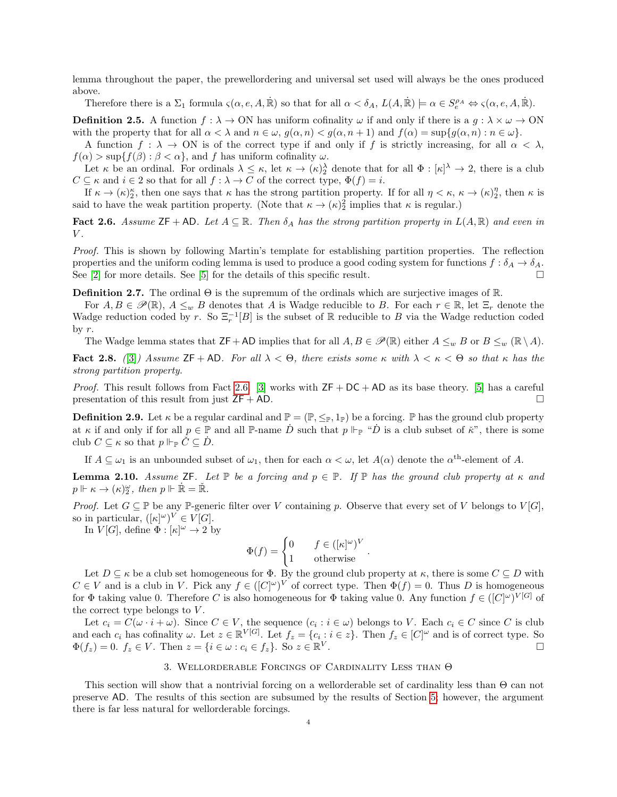lemma throughout the paper, the prewellordering and universal set used will always be the ones produced above.

Therefore there is a  $\Sigma_1$  formula  $\varsigma(\alpha, e, A, \mathbb{R})$  so that for all  $\alpha < \delta_A$ ,  $L(A, \mathbb{R}) \models \alpha \in S_e^{\rho_A} \Leftrightarrow \varsigma(\alpha, e, A, \mathbb{R})$ .

**Definition 2.5.** A function  $f : \lambda \to ON$  has uniform cofinality  $\omega$  if and only if there is a  $g : \lambda \times \omega \to ON$ with the property that for all  $\alpha < \lambda$  and  $n \in \omega$ ,  $g(\alpha, n) < g(\alpha, n+1)$  and  $f(\alpha) = \sup\{g(\alpha, n) : n \in \omega\}$ .

A function  $f : \lambda \to ON$  is of the correct type if and only if f is strictly increasing, for all  $\alpha < \lambda$ ,  $f(\alpha) > \sup\{f(\beta) : \beta < \alpha\}$ , and f has uniform cofinality  $\omega$ .

Let  $\kappa$  be an ordinal. For ordinals  $\lambda \leq \kappa$ , let  $\kappa \to (\kappa)^{\lambda}$  denote that for all  $\Phi : [\kappa]^{\lambda} \to 2$ , there is a club  $C \subseteq \kappa$  and  $i \in 2$  so that for all  $f : \lambda \to C$  of the correct type,  $\Phi(f) = i$ .

If  $\kappa \to (\kappa)_2^{\kappa}$ , then one says that  $\kappa$  has the strong partition property. If for all  $\eta < \kappa$ ,  $\kappa \to (\kappa)_2^{\eta}$ , then  $\kappa$  is said to have the weak partition property. (Note that  $\kappa \to (\kappa)^2$  implies that  $\kappa$  is regular.)

<span id="page-3-0"></span>Fact 2.6. Assume  $\mathsf{ZF} + \mathsf{AD}$ . Let  $A \subseteq \mathbb{R}$ . Then  $\delta_A$  has the strong partition property in  $L(A, \mathbb{R})$  and even in  $V$ .

Proof. This is shown by following Martin's template for establishing partition properties. The reflection properties and the uniform coding lemma is used to produce a good coding system for functions  $f : \delta_A \to \delta_A$ . See [\[2\]](#page-9-3) for more details. See [\[5\]](#page-10-2) for the details of this specific result.  $\square$ 

**Definition 2.7.** The ordinal  $\Theta$  is the supremum of the ordinals which are surjective images of  $\mathbb{R}$ .

For  $A, B \in \mathscr{P}(\mathbb{R}), A \leq_w B$  denotes that A is Wadge reducible to B. For each  $r \in \mathbb{R}$ , let  $\Xi_r$  denote the Wadge reduction coded by r. So  $\Xi_r^{-1}[B]$  is the subset of R reducible to B via the Wadge reduction coded by  $r$ .

The Wadge lemma states that  $\mathsf{ZF}+\mathsf{AD}$  implies that for all  $A, B \in \mathscr{P}(\mathbb{R})$  either  $A \leq_w B$  or  $B \leq_w (\mathbb{R} \setminus A)$ .

<span id="page-3-1"></span>Fact 2.8. ([\[3\]](#page-10-3)) Assume ZF + AD. For all  $\lambda < \Theta$ , there exists some  $\kappa$  with  $\lambda < \kappa < \Theta$  so that  $\kappa$  has the strong partition property.

*Proof.* This result follows from Fact [2.6.](#page-3-0) [\[3\]](#page-10-3) works with  $ZF + DC + AD$  as its base theory. [\[5\]](#page-10-2) has a careful presentation of this result from just  $ZF + AD$ .

**Definition 2.9.** Let  $\kappa$  be a regular cardinal and  $\mathbb{P} = (\mathbb{P}, \leq_{\mathbb{P}}, 1_{\mathbb{P}})$  be a forcing.  $\mathbb{P}$  has the ground club property at  $\kappa$  if and only if for all  $p \in \mathbb{P}$  and all  $\mathbb{P}$ -name  $\dot{D}$  such that  $p \Vdash_{\mathbb{P}} \text{``}\dot{D}$  is a club subset of  $\ddot{\kappa}$ ", there is some club  $C \subseteq \kappa$  so that  $p \Vdash_{\mathbb{P}} \check{C} \subseteq \dot{D}$ .

If  $A \subseteq \omega_1$  is an unbounded subset of  $\omega_1$ , then for each  $\alpha < \omega$ , let  $A(\alpha)$  denote the  $\alpha^{\text{th}}$ -element of A.

<span id="page-3-2"></span>**Lemma 2.10.** Assume ZF. Let  $\mathbb P$  be a forcing and  $p \in \mathbb P$ . If  $\mathbb P$  has the ground club property at  $\kappa$  and  $p \Vdash \kappa \to (\kappa)^{\omega}_{2}, \text{ then } p \Vdash \dot{\mathbb{R}} = \check{\mathbb{R}}.$ 

*Proof.* Let  $G \subseteq \mathbb{P}$  be any P-generic filter over V containing p. Observe that every set of V belongs to  $V[G]$ , so in particular,  $([\kappa]^\omega)^V \in V[G].$ 

In  $V[G]$ , define  $\Phi : [\kappa]^\omega \to 2$  by

$$
\Phi(f) = \begin{cases} 0 & f \in ([\kappa]^\omega)^V \\ 1 & \text{otherwise} \end{cases}.
$$

Let  $D \subseteq \kappa$  be a club set homogeneous for  $\Phi$ . By the ground club property at  $\kappa$ , there is some  $C \subseteq D$  with  $C \in V$  and is a club in V. Pick any  $f \in (C^{\omega})^V$  of correct type. Then  $\Phi(f) = 0$ . Thus D is homogeneous for  $\Phi$  taking value 0. Therefore C is also homogeneous for  $\Phi$  taking value 0. Any function  $f \in ([C]^\omega)^{V[G]}$  of the correct type belongs to  $V$ .

Let  $c_i = C(\omega \cdot i + \omega)$ . Since  $C \in V$ , the sequence  $(c_i : i \in \omega)$  belongs to V. Each  $c_i \in C$  since C is club and each  $c_i$  has cofinality  $\omega$ . Let  $z \in \mathbb{R}^{V[G]}$ . Let  $f_z = \{c_i : i \in z\}$ . Then  $f_z \in [C]^{\omega}$  and is of correct type. So  $\Phi(f_z) = 0$ .  $f_z \in V$ . Then  $z = \{i \in \omega : c_i \in f_z\}$ . So  $z \in \mathbb{R}^V$ .

## 3. Wellorderable Forcings of Cardinality Less than Θ

This section will show that a nontrivial forcing on a wellorderable set of cardinality less than Θ can not preserve AD. The results of this section are subsumed by the results of Section [5;](#page-7-0) however, the argument there is far less natural for wellorderable forcings.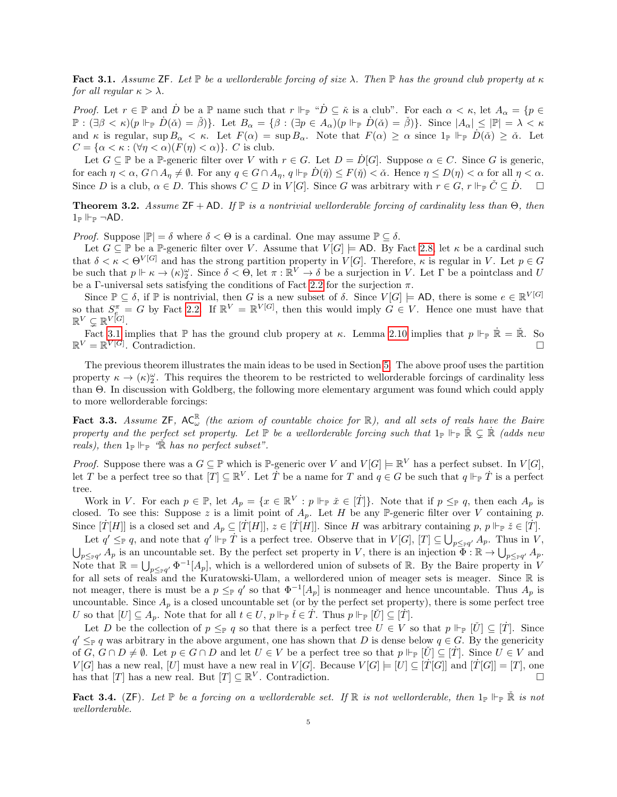<span id="page-4-1"></span>Fact 3.1. Assume ZF. Let  $\mathbb P$  be a wellorderable forcing of size  $\lambda$ . Then  $\mathbb P$  has the ground club property at  $\kappa$ for all regular  $\kappa > \lambda$ .

*Proof.* Let  $r \in \mathbb{P}$  and  $\dot{D}$  be a  $\mathbb{P}$  name such that  $r \Vdash_{\mathbb{P}} \text{``}\dot{D} \subseteq \dot{\kappa}$  is a club". For each  $\alpha < \kappa$ , let  $A_{\alpha} = \{p \in \mathbb{P}\}$  $\mathbb{P}: (\exists \beta < \kappa)(p \Vdash_{\mathbb{P}} D(\check{\alpha}) = \check{\beta})\}.$  Let  $B_{\alpha} = \{\beta : (\exists p \in A_{\alpha})(p \Vdash_{\mathbb{P}} D(\check{\alpha}) = \check{\beta})\}.$  Since  $|A_{\alpha}| \leq |\mathbb{P}| = \lambda < \kappa$ and  $\kappa$  is regular, sup  $B_{\alpha} < \kappa$ . Let  $F(\alpha) = \sup B_{\alpha}$ . Note that  $F(\alpha) \geq \alpha$  since  $1_{\mathbb{P}} \Vdash_{\mathbb{P}} D(\check{\alpha}) \geq \check{\alpha}$ . Let  $C = {\alpha < \kappa : (\forall \eta < \alpha)(F(\eta) < \alpha)}$ . C is club.

Let  $G \subseteq \mathbb{P}$  be a  $\mathbb{P}$ -generic filter over V with  $r \in G$ . Let  $D = D[G]$ . Suppose  $\alpha \in C$ . Since G is generic, for each  $\eta < \alpha$ ,  $G \cap A_{\eta} \neq \emptyset$ . For any  $q \in G \cap A_{\eta}$ ,  $q \Vdash_{\mathbb{P}} D(\eta) \leq F(\eta) < \alpha$ . Hence  $\eta \leq D(\eta) < \alpha$  for all  $\eta < \alpha$ . Since D is a club,  $\alpha \in D$ . This shows  $C \subseteq D$  in  $V[G]$ . Since G was arbitrary with  $r \in G$ ,  $r \Vdash_{\mathbb{P}} C \subseteq D$ .  $\Box$ 

<span id="page-4-0"></span>**Theorem 3.2.** Assume  $ZF + AD$ . If  $\mathbb P$  is a nontrivial wellorderable forcing of cardinality less than  $\Theta$ , then  $1_{\mathbb{P}} \Vdash_{\mathbb{P}} \neg AD$ .

*Proof.* Suppose  $|\mathbb{P}| = \delta$  where  $\delta < \Theta$  is a cardinal. One may assume  $\mathbb{P} \subseteq \delta$ .

Let  $G \subseteq \mathbb{P}$  be a  $\mathbb{P}$ -generic filter over V. Assume that  $V[G] \models$  AD. By Fact [2.8,](#page-3-1) let  $\kappa$  be a cardinal such that  $\delta < \kappa < \Theta^{V[G]}$  and has the strong partition property in  $V[G]$ . Therefore,  $\kappa$  is regular in V. Let  $p \in G$ be such that  $p \Vdash \kappa \to (\kappa)_2^{\omega}$ . Since  $\delta < \Theta$ , let  $\pi : \mathbb{R}^V \to \delta$  be a surjection in V. Let  $\Gamma$  be a pointclass and U be a Γ-universal sets satisfying the conditions of Fact [2.2](#page-2-1) for the surjection  $\pi$ .

Since  $\mathbb{P} \subseteq \delta$ , if  $\mathbb{P}$  is nontrivial, then G is a new subset of  $\delta$ . Since  $V[G] \models AD$ , there is some  $e \in \mathbb{R}^{V[G]}$ so that  $S_e^{\pi} = G$  by Fact [2.2.](#page-2-1) If  $\mathbb{R}^V = \mathbb{R}^{V[G]}$ , then this would imply  $G \in V$ . Hence one must have that  $\mathbb{R}^V \subsetneq \mathbb{R}^{V[G]}.$ 

Fact [3.1](#page-4-1) implies that  $\mathbb P$  has the ground club propery at  $\kappa$ . Lemma [2.10](#page-3-2) implies that  $p \Vdash_{\mathbb P} \dot{\mathbb R} = \check{\mathbb R}$ . So  $\mathbb{R}^V=\mathbb{R}^{V[G]}$ . Contradiction.

The previous theorem illustrates the main ideas to be used in Section [5.](#page-7-0) The above proof uses the partition property  $\kappa \to (\kappa)^{\omega}_{2}$ . This requires the theorem to be restricted to wellorderable forcings of cardinality less than Θ. In discussion with Goldberg, the following more elementary argument was found which could apply to more wellorderable forcings:

<span id="page-4-3"></span>**Fact 3.3.** Assume  $ZF$ ,  $AC_{\omega}^{\mathbb{R}}$  (the axiom of countable choice for  $\mathbb{R}$ ), and all sets of reals have the Baire property and the perfect set property. Let  $\mathbb P$  be a wellorderable forcing such that  $1_{\mathbb P} \Vdash_{\mathbb P} \mathbb R \subsetneq \mathbb R$  (adds new reals), then  $1_{\mathbb{P}} \Vdash_{\mathbb{P}} \hat{\mathbb{R}}$  has no perfect subset".

*Proof.* Suppose there was a  $G \subseteq \mathbb{P}$  which is  $\mathbb{P}$ -generic over V and  $V[G] \models \mathbb{R}^V$  has a perfect subset. In  $V[G]$ , let T be a perfect tree so that  $[T] \subseteq \mathbb{R}^V$ . Let T be a name for T and  $q \in G$  be such that  $q \Vdash_{\mathbb{P}} T$  is a perfect tree.

Work in V. For each  $p \in \mathbb{P}$ , let  $A_p = \{x \in \mathbb{R}^V : p \Vdash_{\mathbb{P}} \check{x} \in [\dot{T}]\}\.$  Note that if  $p \leq_{\mathbb{P}} q$ , then each  $A_p$  is closed. To see this: Suppose z is a limit point of  $A_p$ . Let H be any P-generic filter over V containing p. Since  $[\dot{T}[H]]$  is a closed set and  $A_p \subseteq [\dot{T}[H]]$ ,  $z \in [\dot{T}[H]]$ . Since H was arbitrary containing p,  $p \Vdash_{\mathbb{P}} \check{z} \in [\dot{T}]$ .

Let  $q' \leq_{\mathbb{P}} q$ , and note that  $q' \Vdash_{\mathbb{P}} \dot{T}$  is a perfect tree. Observe that in  $V[G], [T] \subseteq \bigcup_{p \leq_{\mathbb{P}} q'} A_p$ . Thus in V,  $\bigcup_{p \leq \mathbb{F}q'} A_p$  is an uncountable set. By the perfect set property in V, there is an injection  $\Phi : \mathbb{R} \to \bigcup_{p \leq \mathbb{F}q'} A_p$ . Note that  $\mathbb{R} = \bigcup_{p \leq p \neq q'} \Phi^{-1}[A_p]$ , which is a wellordered union of subsets of R. By the Baire property in V for all sets of reals and the Kuratowski-Ulam, a wellordered union of meager sets is meager. Since  $\mathbb R$  is not meager, there is must be a  $p \leq_{\mathbb{P}} q'$  so that  $\Phi^{-1}[A_p]$  is nonmeager and hence uncountable. Thus  $A_p$  is uncountable. Since  $A_p$  is a closed uncountable set (or by the perfect set property), there is some perfect tree U so that  $[U] \subseteq A_p$ . Note that for all  $t \in U$ ,  $p \Vdash_{\mathbb{P}} \check{t} \in \dot{T}$ . Thus  $p \Vdash_{\mathbb{P}} [\check{U}] \subseteq [\dot{T}]$ .

Let D be the collection of  $p \leq_{\mathbb{P}} q$  so that there is a perfect tree  $U \in V$  so that  $p \Vdash_{\mathbb{P}} [\check{U}] \subseteq [\check{T}]$ . Since  $q' \leq_{\mathbb{P}} q$  was arbitrary in the above argument, one has shown that D is dense below  $q \in G$ . By the genericity of  $G, G \cap D \neq \emptyset$ . Let  $p \in G \cap D$  and let  $U \in V$  be a perfect tree so that  $p \Vdash_{\mathbb{P}} [\check{U}] \subseteq [\check{T}]$ . Since  $U \in V$  and  $V[G]$  has a new real,  $[U]$  must have a new real in  $V[G]$ . Because  $V[G] \models [U] \subseteq [T[G]]$  and  $[T[G]] = [T]$ , one has that [T] has a new real. But  $[T] \subseteq \mathbb{R}^V$ . Contradiction.

<span id="page-4-2"></span>Fact 3.4. (ZF). Let  $\mathbb P$  be a forcing on a wellorderable set. If  $\mathbb R$  is not wellorderable, then  $1_{\mathbb P} \Vdash_{\mathbb P} \check{\mathbb R}$  is not wellorderable.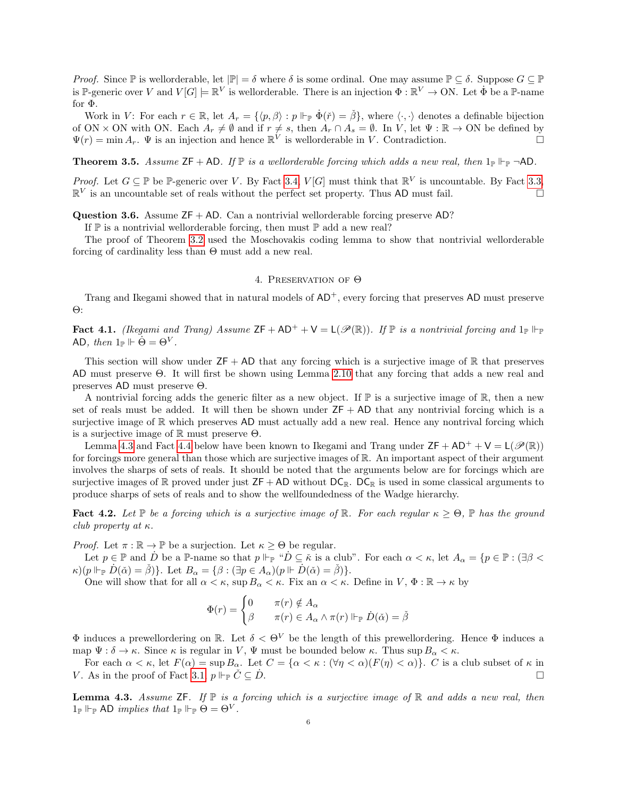*Proof.* Since P is wellorderable, let  $|\mathbb{P}| = \delta$  where  $\delta$  is some ordinal. One may assume  $\mathbb{P} \subset \delta$ . Suppose  $G \subset \mathbb{P}$ is P-generic over V and  $V[G] \models \mathbb{R}^V$  is wellorderable. There is an injection  $\Phi : \mathbb{R}^V \to ON$ . Let  $\dot{\Phi}$  be a P-name for Φ.

Work in V: For each  $r \in \mathbb{R}$ , let  $A_r = \{ \langle p, \beta \rangle : p \Vdash_{\mathbb{P}} \dot{\Phi}(\check{r}) = \check{\beta} \}$ , where  $\langle \cdot, \cdot \rangle$  denotes a definable bijection of ON × ON with ON. Each  $A_r \neq \emptyset$  and if  $r \neq s$ , then  $A_r \cap A_s = \emptyset$ . In V, let  $\Psi : \mathbb{R} \to \text{ON}$  be defined by  $\Psi(r) = \min A_r$ .  $\Psi$  is an injection and hence  $\mathbb{R}^V$  is wellorderable in V. Contradiction.

<span id="page-5-0"></span>**Theorem 3.5.** Assume  $\mathsf{ZF} + \mathsf{AD}$ . If  $\mathbb{P}$  is a wellorderable forcing which adds a new real, then  $1_{\mathbb{P}} \vdash_{\mathbb{P}} \neg \mathsf{AD}$ .

*Proof.* Let  $G \subseteq \mathbb{P}$  be P-generic over V. By Fact [3.4,](#page-4-2)  $V[G]$  must think that  $\mathbb{R}^V$  is uncountable. By Fact [3.3,](#page-4-3)  $\mathbb{R}^V$  is an uncountable set of reals without the perfect set property. Thus AD must fail.

**Question 3.6.** Assume  $ZF + AD$ . Can a nontrivial wellorderable forcing preserve AD?

If  $\mathbb P$  is a nontrivial wellorderable forcing, then must  $\mathbb P$  add a new real?

The proof of Theorem [3.2](#page-4-0) used the Moschovakis coding lemma to show that nontrivial wellorderable forcing of cardinality less than Θ must add a new real.

## 4. Preservation of Θ

Trang and Ikegami showed that in natural models of  $AD^+$ , every forcing that preserves AD must preserve Θ:

**Fact 4.1.** (Ikegami and Trang) Assume  $ZF + AD^+ + V = L(\mathscr{P}(\mathbb{R}))$ . If  $\mathbb{P}$  is a nontrivial forcing and  $1_{\mathbb{P}} \Vdash_{\mathbb{P}}$ AD, then  $1_{\mathbb{P}} \Vdash \Theta = \Theta^V$ .

This section will show under  $ZF + AD$  that any forcing which is a surjective image of R that preserves AD must preserve Θ. It will first be shown using Lemma [2.10](#page-3-2) that any forcing that adds a new real and preserves AD must preserve Θ.

A nontrivial forcing adds the generic filter as a new object. If  $\mathbb P$  is a surjective image of  $\mathbb R$ , then a new set of reals must be added. It will then be shown under  $ZF + AD$  that any nontrivial forcing which is a surjective image of R which preserves AD must actually add a new real. Hence any nontrival forcing which is a surjective image of  $\mathbb R$  must preserve  $\Theta$ .

Lemma [4.3](#page-5-1) and Fact [4.4](#page-6-0) below have been known to Ikegami and Trang under  $\mathsf{ZF} + \mathsf{AD^+} + \mathsf{V} = \mathsf{L}(\mathscr{P}(\mathbb{R}))$ for forcings more general than those which are surjective images of R. An important aspect of their argument involves the sharps of sets of reals. It should be noted that the arguments below are for forcings which are surjective images of  $\mathbb R$  proved under just  $ZF + AD$  without  $DC_{\mathbb R}$ .  $DC_{\mathbb R}$  is used in some classical arguments to produce sharps of sets of reals and to show the wellfoundedness of the Wadge hierarchy.

<span id="page-5-2"></span>Fact 4.2. Let P be a forcing which is a surjective image of R. For each regular  $\kappa \geq \Theta$ , P has the ground club property at  $\kappa$ .

*Proof.* Let  $\pi : \mathbb{R} \to \mathbb{P}$  be a surjection. Let  $\kappa > \Theta$  be regular.

Let  $p \in \mathbb{P}$  and  $\dot{D}$  be a  $\mathbb{P}$ -name so that  $p \Vdash_{\mathbb{P}} \text{``}\dot{D} \subseteq \dot{\kappa}$  is a club". For each  $\alpha < \kappa$ , let  $A_{\alpha} = \{p \in \mathbb{P} : (\exists \beta < \kappa) \in \mathbb{P} : (\exists \beta < \kappa) \in \mathbb{P} : (\exists \beta < \kappa) \in \mathbb{P} : (\exists \beta < \kappa) \in \mathbb{P} : (\exists \beta < \kappa)$  $\kappa$ )( $p \Vdash_{\mathbb{P}} \dot{D}(\check{\alpha}) = \check{\beta}$ ). Let  $B_{\alpha} = \{\beta : (\exists p \in A_{\alpha})(p \Vdash \dot{D}(\check{\alpha}) = \check{\beta})\}.$ 

One will show that for all  $\alpha < \kappa$ , sup  $B_{\alpha} < \kappa$ . Fix an  $\alpha < \kappa$ . Define in  $V, \Phi : \mathbb{R} \to \kappa$  by

$$
\Phi(r) = \begin{cases} 0 & \pi(r) \notin A_{\alpha} \\ \beta & \pi(r) \in A_{\alpha} \land \pi(r) \Vdash_{\mathbb{P}} \dot{D}(\check{\alpha}) = \check{\beta} \end{cases}
$$

 $\Phi$  induces a prewellordering on R. Let  $\delta \leq \Theta^V$  be the length of this prewellordering. Hence  $\Phi$  induces a map  $\Psi : \delta \to \kappa$ . Since  $\kappa$  is regular in V,  $\Psi$  must be bounded below  $\kappa$ . Thus sup  $B_{\alpha} < \kappa$ .

For each  $\alpha < \kappa$ , let  $F(\alpha) = \sup B_{\alpha}$ . Let  $C = {\alpha < \kappa : (\forall \eta < \alpha)(F(\eta) < \alpha)}$ . C is a club subset of  $\kappa$  in V. As in the proof of Fact [3.1,](#page-4-1)  $p \Vdash_{\mathbb{P}} \check{C} \subseteq \check{D}$ . .

<span id="page-5-1"></span>**Lemma 4.3.** Assume  $\mathsf{ZF}$ . If  $\mathbb P$  is a forcing which is a surjective image of  $\mathbb R$  and adds a new real, then  $1_{\mathbb{P}} \Vdash_{\mathbb{P}} \mathsf{AD}$  implies that  $1_{\mathbb{P}} \Vdash_{\mathbb{P}} \Theta = \Theta^V$ .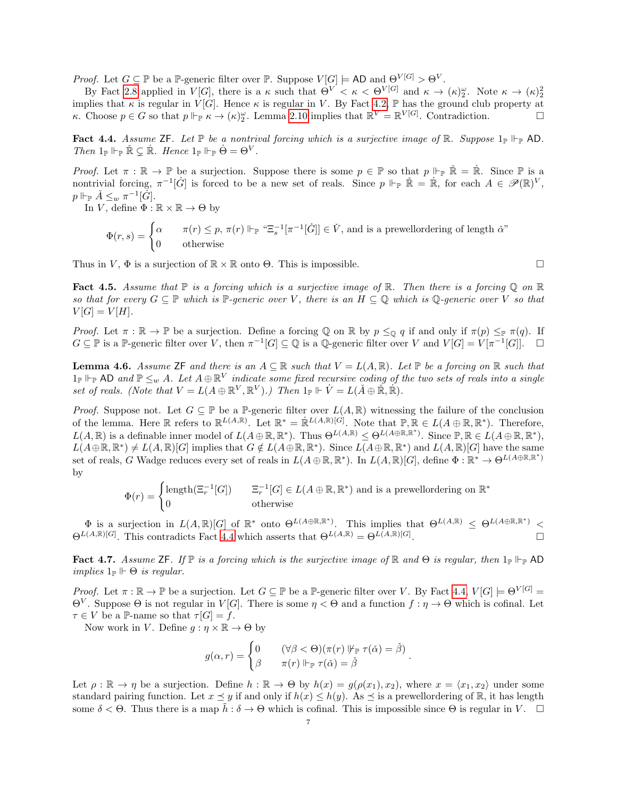*Proof.* Let  $G \subseteq \mathbb{P}$  be a  $\mathbb{P}$ -generic filter over  $\mathbb{P}$ . Suppose  $V[G] \models \text{AD}$  and  $\Theta^{V[G]} > \Theta^V$ .

By Fact [2.8](#page-3-1) applied in  $V[G]$ , there is a  $\kappa$  such that  $\Theta^V < \kappa < \Theta^{V[G]}$  and  $\kappa \to (\kappa)_2^{\omega}$ . Note  $\kappa \to (\kappa)_2^2$ implies that  $\kappa$  is regular in  $\hat{V}[G]$ . Hence  $\kappa$  is regular in V. By Fact [4.2,](#page-5-2)  $\mathbb P$  has the ground club property at κ. Choose  $p \in G$  so that  $p \Vdash_{\mathbb{P}} \kappa \to (\kappa)_2^{\omega}$ . Lemma [2.10](#page-3-2) implies that  $\mathbb{R}^V = \mathbb{R}^V[G]$ . Contradiction.

<span id="page-6-0"></span>Fact 4.4. Assume ZF. Let  $\mathbb P$  be a nontrival forcing which is a surjective image of  $\mathbb R$ . Suppose  $1_{\mathbb P}$   $\mathbb P$   $\mathbb P$  AD. Then  $1_{\mathbb{P}} \Vdash_{\mathbb{P}} \check{\mathbb{R}} \subsetneq \dot{\mathbb{R}}$ . Hence  $1_{\mathbb{P}} \Vdash_{\mathbb{P}} \dot{\Theta} = \Theta^V$ .

*Proof.* Let  $\pi : \mathbb{R} \to \mathbb{P}$  be a surjection. Suppose there is some  $p \in \mathbb{P}$  so that  $p \Vdash_{\mathbb{P}} \check{\mathbb{R}} = \dot{\mathbb{R}}$ . Since  $\mathbb{P}$  is a nontrivial forcing,  $\pi^{-1}[\dot{G}]$  is forced to be a new set of reals. Since  $p \Vdash_{\mathbb{P}} \check{\mathbb{R}} = \dot{\mathbb{R}}$ , for each  $A \in \mathscr{P}(\mathbb{R})^V$ ,  $p \Vdash_{\mathbb{P}} \check{A} \leq_w \pi^{-1}[\dot{G}].$ 

In V, define  $\Phi : \mathbb{R} \times \mathbb{R} \to \Theta$  by

$$
\Phi(r,s) = \begin{cases}\n\alpha & \pi(r) \le p, \pi(r) \Vdash_{\mathbb{P}} \text{``}\Xi_s^{-1}[\pi^{-1}[\dot{G}]] \in \check{V}, \text{ and is a prewellordering of length } \check{\alpha} \text{''} \\
0 & \text{otherwise}\n\end{cases}
$$

Thus in  $V, \Phi$  is a surjection of  $\mathbb{R} \times \mathbb{R}$  onto  $\Theta$ . This is impossible.

<span id="page-6-1"></span>Fact 4.5. Assume that  $\mathbb P$  is a forcing which is a surjective image of  $\mathbb R$ . Then there is a forcing  $\mathbb Q$  on  $\mathbb R$ so that for every  $G \subseteq \mathbb{P}$  which is  $\mathbb{P}$ -generic over V, there is an  $H \subseteq \mathbb{Q}$  which is  $\mathbb{Q}$ -generic over V so that  $V[G] = V[H].$ 

Proof. Let  $\pi : \mathbb{R} \to \mathbb{P}$  be a surjection. Define a forcing Q on R by  $p \leq_{\mathbb{Q}} q$  if and only if  $\pi(p) \leq_{\mathbb{P}} \pi(q)$ . If  $G \subseteq \mathbb{P}$  is a  $\mathbb{P}$ -generic filter over V, then  $\pi^{-1}[G] \subseteq \mathbb{Q}$  is a  $\mathbb{Q}$ -generic filter over V and  $V[G] = V[\pi^{-1}[G]]$ .  $\Box$ 

<span id="page-6-3"></span>**Lemma 4.6.** Assume ZF and there is an  $A \subseteq \mathbb{R}$  such that  $V = L(A, \mathbb{R})$ . Let  $\mathbb{P}$  be a forcing on  $\mathbb{R}$  such that  $1_{\mathbb{P}} \Vdash_{\mathbb{P}} \mathsf{AD}$  and  $\mathbb{P} \leq_w A$ . Let  $A \oplus \mathbb{R}^V$  indicate some fixed recursive coding of the two sets of reals into a single set of reals. (Note that  $V = L(A \oplus \mathbb{R}^V, \mathbb{R}^V)$ .) Then  $1_{\mathbb{P}} \Vdash \dot{V} = L(\check{A} \oplus \check{\mathbb{R}}, \dot{\mathbb{R}})$ .

*Proof.* Suppose not. Let  $G \subseteq \mathbb{P}$  be a  $\mathbb{P}$ -generic filter over  $L(A, \mathbb{R})$  witnessing the failure of the conclusion of the lemma. Here  $\mathbb R$  refers to  $\mathbb R^{L(A,\mathbb R)}$ . Let  $\mathbb R^* = \mathbb R^{L(A,\mathbb R)[G]}$ . Note that  $\mathbb P, \mathbb R \in L(A \oplus \mathbb R, \mathbb R^*)$ . Therefore,  $L(A,\mathbb{R})$  is a definable inner model of  $L(A\oplus \mathbb{R},\mathbb{R}^*)$ . Thus  $\Theta^{L(A,\mathbb{R})} \leq \Theta^{L(A\oplus \mathbb{R},\mathbb{R}^*)}$ . Since  $\mathbb{P},\mathbb{R} \in L(A\oplus \mathbb{R},\mathbb{R}^*)$ ,  $L(A \oplus \mathbb{R}, \mathbb{R}^*) \neq L(A, \mathbb{R})[G]$  implies that  $G \notin L(A \oplus \mathbb{R}, \mathbb{R}^*)$ . Since  $L(A \oplus \mathbb{R}, \mathbb{R}^*)$  and  $L(A, \mathbb{R})[G]$  have the same set of reals, G Wadge reduces every set of reals in  $L(A \oplus \mathbb{R}, \mathbb{R}^*)$ . In  $L(A, \mathbb{R})[G]$ , define  $\Phi : \mathbb{R}^* \to \Theta^{L(A \oplus \mathbb{R}, \mathbb{R}^*)}$ by

$$
\Phi(r) = \begin{cases} \text{length}(\Xi_r^{-1}[G]) & \Xi_r^{-1}[G] \in L(A \oplus \mathbb{R}, \mathbb{R}^*) \text{ and is a prewellordering on } \mathbb{R}^* \\ 0 & \text{otherwise} \end{cases}
$$

 $\Phi$  is a surjection in  $L(A,\mathbb{R})[G]$  of  $\mathbb{R}^*$  onto  $\Theta^{L(A\oplus \mathbb{R},\mathbb{R}^*)}$ . This implies that  $\Theta^{L(A,\mathbb{R})} \leq \Theta^{L(A\oplus \mathbb{R},\mathbb{R}^*)}$  $\Theta^{L(A,\mathbb{R})[G]}$ . This contradicts Fact [4.4](#page-6-0) which asserts that  $\Theta^{L(A,\mathbb{R})} = \Theta^{L(A,\mathbb{R})[G]}$ .

<span id="page-6-2"></span>Fact 4.7. Assume ZF. If  $\mathbb P$  is a forcing which is the surjective image of  $\mathbb R$  and  $\Theta$  is regular, then  $1_{\mathbb P} \Vdash_{\mathbb P}$  AD implies  $1_{\mathbb{P}} \vDash \Theta$  is regular.

Proof. Let  $\pi : \mathbb{R} \to \mathbb{P}$  be a surjection. Let  $G \subseteq \mathbb{P}$  be a  $\mathbb{P}$ -generic filter over V. By Fact [4.4,](#page-6-0)  $V[G] \models \Theta^{V[G]}$  $\Theta^V$ . Suppose  $\Theta$  is not regular in  $V[G]$ . There is some  $\eta < \Theta$  and a function  $f : \eta \to \Theta$  which is cofinal. Let  $\tau \in V$  be a P-name so that  $\tau[G] = f$ .

Now work in V. Define  $g : \eta \times \mathbb{R} \to \Theta$  by

$$
g(\alpha, r) = \begin{cases} 0 & (\forall \beta < \Theta)(\pi(r) \, \mathbb{V}_{\mathbb{P}} \, \tau(\check{\alpha}) = \check{\beta}) \\ \beta & \pi(r) \, \mathbb{I}_{\mathbb{P}} \, \tau(\check{\alpha}) = \check{\beta} \end{cases}
$$

.

Let  $\rho : \mathbb{R} \to \eta$  be a surjection. Define  $h : \mathbb{R} \to \Theta$  by  $h(x) = g(\rho(x_1), x_2)$ , where  $x = \langle x_1, x_2 \rangle$  under some standard pairing function. Let  $x \leq y$  if and only if  $h(x) \leq h(y)$ . As  $\preceq$  is a prewellordering of R, it has length some  $\delta < \Theta$ . Thus there is a map  $h : \delta \to \Theta$  which is cofinal. This is impossible since  $\Theta$  is regular in V.  $\square$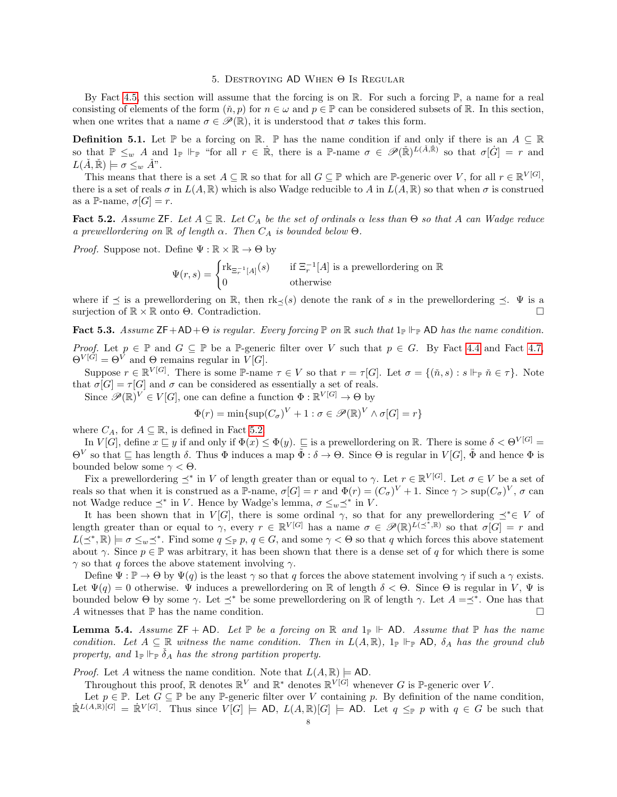#### 5. Destroying AD When Θ Is Regular

<span id="page-7-0"></span>By Fact [4.5,](#page-6-1) this section will assume that the forcing is on  $\mathbb{R}$ . For such a forcing  $\mathbb{P}$ , a name for a real consisting of elements of the form  $(\check{n}, p)$  for  $n \in \omega$  and  $p \in \mathbb{P}$  can be considered subsets of R. In this section, when one writes that a name  $\sigma \in \mathscr{P}(\mathbb{R})$ , it is understood that  $\sigma$  takes this form.

**Definition 5.1.** Let P be a forcing on R. P has the name condition if and only if there is an  $A \subseteq \mathbb{R}$ so that  $\mathbb{P} \leq_w A$  and  $1_{\mathbb{P}} \Vdash_{\mathbb{P}}$  "for all  $r \in \mathbb{R}$ , there is a  $\mathbb{P}\text{-name } \sigma \in \mathscr{P}(\mathbb{R})^{L(\check{A}, \mathbb{R})}$  so that  $\sigma[\dot{G}] = r$  and  $L(\check{A}, \check{\mathbb{R}}) \models \sigma \leq_w \check{A}$ ".

This means that there is a set  $A \subseteq \mathbb{R}$  so that for all  $G \subseteq \mathbb{P}$  which are  $\mathbb{P}$ -generic over V, for all  $r \in \mathbb{R}^{V[G]}$ , there is a set of reals  $\sigma$  in  $L(A,\mathbb{R})$  which is also Wadge reducible to A in  $L(A,\mathbb{R})$  so that when  $\sigma$  is construed as a P-name,  $\sigma[G] = r$ .

<span id="page-7-1"></span>Fact 5.2. Assume ZF. Let  $A \subseteq \mathbb{R}$ . Let  $C_A$  be the set of ordinals  $\alpha$  less than  $\Theta$  so that A can Wadge reduce a prewellordering on  $\mathbb R$  of length  $\alpha$ . Then  $C_A$  is bounded below  $\Theta$ .

*Proof.* Suppose not. Define  $\Psi : \mathbb{R} \times \mathbb{R} \to \Theta$  by

$$
\Psi(r,s) = \begin{cases} \text{rk}_{\Xi_r^{-1}[A]}(s) & \text{if } \Xi_r^{-1}[A] \text{ is a prewellordering on } \mathbb{R} \\ 0 & \text{otherwise} \end{cases}
$$

where if  $\preceq$  is a prewellordering on R, then rk $\preceq$ (s) denote the rank of s in the prewellordering  $\preceq$ .  $\Psi$  is a surjection of  $\mathbb{R} \times \mathbb{R}$  onto  $\Theta$ . Contradiction.

<span id="page-7-2"></span>Fact 5.3. Assume  $\mathsf{ZF}+\mathsf{AD}+\Theta$  is regular. Every forcing  $\mathbb P$  on  $\mathbb R$  such that  $1_{\mathbb P}\Vdash_{\mathbb P}\mathsf{AD}$  has the name condition. *Proof.* Let  $p \in \mathbb{P}$  and  $G \subseteq \mathbb{P}$  be a P-generic filter over V such that  $p \in G$ . By Fact [4.4](#page-6-0) and Fact [4.7,](#page-6-2)

 $\Theta^{V[G]} = \Theta^{\overline{V}}$  and  $\Theta$  remains regular in  $V[G]$ . Suppose  $r \in \mathbb{R}^{V[G]}$ . There is some P-name  $\tau \in V$  so that  $r = \tau[G]$ . Let  $\sigma = \{(\check{n},s) : s \Vdash_{\mathbb{P}} \check{n} \in \tau\}$ . Note that  $\sigma[G] = \tau[G]$  and  $\sigma$  can be considered as essentially a set of reals.

Since  $\mathscr{P}(\mathbb{R})^V \in V[G]$ , one can define a function  $\Phi : \mathbb{R}^V[G] \to \Theta$  by

$$
\Phi(r) = \min\{\sup(C_{\sigma})^V + 1 : \sigma \in \mathcal{P}(\mathbb{R})^V \wedge \sigma[G] = r\}
$$

where  $C_A$ , for  $A \subseteq \mathbb{R}$ , is defined in Fact [5.2.](#page-7-1)

In  $V[G]$ , define  $x \sqsubseteq y$  if and only if  $\Phi(x) \leq \Phi(y)$ .  $\square$  is a prewellordering on R. There is some  $\delta < \Theta^{V[G]}$  =  $\Theta^V$  so that  $\subseteq$  has length  $\delta$ . Thus  $\Phi$  induces a map  $\tilde{\Phi}: \delta \to \Theta$ . Since  $\Theta$  is regular in  $V[G], \tilde{\Phi}$  and hence  $\Phi$  is bounded below some  $\gamma < \Theta$ .

Fix a prewellordering  $\preceq^*$  in V of length greater than or equal to  $\gamma$ . Let  $r \in \mathbb{R}^{V[G]}$ . Let  $\sigma \in V$  be a set of reals so that when it is construed as a P-name,  $\sigma[G] = r$  and  $\Phi(r) = (C_{\sigma})^V + 1$ . Since  $\gamma > \sup(C_{\sigma})^V$ ,  $\sigma$  can not Wadge reduce  $\preceq^*$  in V. Hence by Wadge's lemma,  $\sigma \leq_w \preceq^*$  in V.

It has been shown that in  $V[G]$ , there is some ordinal  $\gamma$ , so that for any prewellordering  $\preceq^* \in V$  of length greater than or equal to  $\gamma$ , every  $r \in \mathbb{R}^{V[G]}$  has a name  $\sigma \in \mathscr{P}(\mathbb{R})^{L(\preceq^*, \mathbb{R})}$  so that  $\sigma[G] = r$  and  $L(\preceq^*, \mathbb{R}) \models \sigma \leq_w \preceq^*$ . Find some  $q \leq_{\mathbb{P}} p, q \in G$ , and some  $\gamma < \Theta$  so that q which forces this above statement about  $\gamma$ . Since  $p \in \mathbb{P}$  was arbitrary, it has been shown that there is a dense set of q for which there is some  $\gamma$  so that q forces the above statement involving  $\gamma$ .

Define  $\Psi : \mathbb{P} \to \Theta$  by  $\Psi(q)$  is the least  $\gamma$  so that q forces the above statement involving  $\gamma$  if such a  $\gamma$  exists. Let  $\Psi(q) = 0$  otherwise.  $\Psi$  induces a prewellordering on R of length  $\delta < \Theta$ . Since  $\Theta$  is regular in V,  $\Psi$  is bounded below Θ by some  $\gamma$ . Let  $\preceq^*$  be some prewellordering on R of length  $\gamma$ . Let  $A = \preceq^*$ . One has that A witnesses that  $\mathbb P$  has the name condition.  $\Box$ 

<span id="page-7-3"></span>**Lemma 5.4.** Assume  $ZF + AD$ . Let  $\mathbb P$  be a forcing on  $\mathbb R$  and  $1_{\mathbb P} \Vdash AD$ . Assume that  $\mathbb P$  has the name condition. Let  $A \subseteq \mathbb{R}$  witness the name condition. Then in  $L(A, \mathbb{R})$ ,  $1_{\mathbb{P}} \Vdash_{\mathbb{P}} \mathsf{AD}$ ,  $\delta_A$  has the ground club property, and  $1_{\mathbb{P}} \Vdash_{\mathbb{P}} \check{\delta}_A$  has the strong partition property.

*Proof.* Let A witness the name condition. Note that  $L(A, \mathbb{R}) \models \text{AD}$ .

Throughout this proof,  $\mathbb{R}$  denotes  $\mathbb{R}^V$  and  $\mathbb{R}^*$  denotes  $\mathbb{R}^V$ <sup>[G]</sup> whenever G is P-generic over V.

Let  $p \in \mathbb{P}$ . Let  $G \subseteq \mathbb{P}$  be any P-generic filter over V containing p. By definition of the name condition,  $\mathbb{R}^{L(A,\mathbb{R})[G]} = \mathbb{R}^{V[G]}$ . Thus since  $V[G] \models AD, L(A,\mathbb{R})[G] \models AD$ . Let  $q \leq_{\mathbb{P}} p$  with  $q \in G$  be such that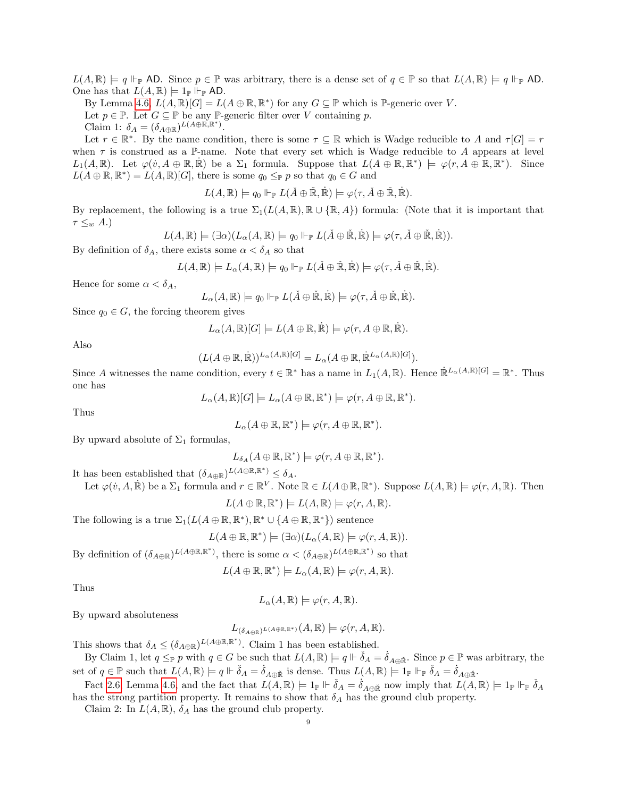$L(A, \mathbb{R}) \models q \Vdash_{\mathbb{P}} \mathsf{AD}.$  Since  $p \in \mathbb{P}$  was arbitrary, there is a dense set of  $q \in \mathbb{P}$  so that  $L(A, \mathbb{R}) \models q \Vdash_{\mathbb{P}} \mathsf{AD}.$ One has that  $L(A, \mathbb{R}) \models 1_{\mathbb{P}} \Vdash_{\mathbb{P}} \mathsf{AD}$ .

By Lemma [4.6,](#page-6-3)  $L(A, \mathbb{R})[G] = L(A \oplus \mathbb{R}, \mathbb{R}^*)$  for any  $G \subseteq \mathbb{P}$  which is  $\mathbb{P}$ -generic over V. Let  $p \in \mathbb{P}$ . Let  $G \subseteq \mathbb{P}$  be any  $\mathbb{P}$ -generic filter over V containing p. Claim 1:  $\delta_A = (\delta_{A \oplus \mathbb{R}})^{L(A \oplus \mathbb{R}, \mathbb{R}^*)}$ .

Let  $r \in \mathbb{R}^*$ . By the name condition, there is some  $\tau \subseteq \mathbb{R}$  which is Wadge reducible to A and  $\tau[G] = r$ when  $\tau$  is construed as a P-name. Note that every set which is Wadge reducible to A appears at level  $L_1(A,\mathbb{R})$ . Let  $\varphi(\dot{v},A\oplus\mathbb{R},\dot{\mathbb{R}})$  be a  $\Sigma_1$  formula. Suppose that  $L(A\oplus\mathbb{R},\mathbb{R}^*)\models \varphi(r,A\oplus\mathbb{R},\mathbb{R}^*)$ . Since  $L(A \oplus \mathbb{R}, \mathbb{R}^*) = L(A, \mathbb{R})[G]$ , there is some  $q_0 \leq_{\mathbb{P}} p$  so that  $q_0 \in G$  and

$$
L(A,\mathbb{R}) \models q_0 \Vdash_{\mathbb{P}} L(\check{A} \oplus \check{\mathbb{R}}, \dot{\mathbb{R}}) \models \varphi(\tau, \check{A} \oplus \check{\mathbb{R}}, \dot{\mathbb{R}}).
$$

By replacement, the following is a true  $\Sigma_1(L(A,\mathbb{R}),\mathbb{R}\cup \{\mathbb{R},A\})$  formula: (Note that it is important that  $\tau \leq_w A$ .)

$$
L(A,\mathbb{R}) \models (\exists \alpha)(L_{\alpha}(A,\mathbb{R}) \models q_0 \Vdash_{\mathbb{P}} L(\check{A} \oplus \check{\mathbb{R}}, \dot{\mathbb{R}}) \models \varphi(\tau, \check{A} \oplus \check{\mathbb{R}}, \dot{\mathbb{R}})).
$$

By definition of  $\delta_A$ , there exists some  $\alpha < \delta_A$  so that

$$
L(A,\mathbb{R}) \models L_{\alpha}(A,\mathbb{R}) \models q_0 \Vdash_{\mathbb{P}} L(\check{A} \oplus \check{\mathbb{R}},\dot{\mathbb{R}}) \models \varphi(\tau,\check{A} \oplus \check{\mathbb{R}},\mathbb{R}).
$$

Hence for some  $\alpha < \delta_A$ ,

$$
L_{\alpha}(A,\mathbb{R}) \models q_0 \Vdash_{\mathbb{P}} L(\check{A} \oplus \check{\mathbb{R}}, \dot{\mathbb{R}}) \models \varphi(\tau, \check{A} \oplus \check{\mathbb{R}}, \dot{\mathbb{R}}).
$$

Since  $q_0 \in G$ , the forcing theorem gives

$$
L_{\alpha}(A,\mathbb{R})[G] \models L(A \oplus \mathbb{R},\dot{\mathbb{R}}) \models \varphi(r,A \oplus \mathbb{R},\dot{\mathbb{R}}).
$$

Also

$$
(L(A\oplus\mathbb{R},\dot{\mathbb{R}}))^{L_{\alpha}(A,\mathbb{R})[G]}=L_{\alpha}(A\oplus\mathbb{R},\dot{\mathbb{R}}^{L_{\alpha}(A,\mathbb{R})[G]}).
$$

Since A witnesses the name condition, every  $t \in \mathbb{R}^*$  has a name in  $L_1(A, \mathbb{R})$ . Hence  $\mathbb{R}^{L_{\alpha}(A, \mathbb{R})[G]} = \mathbb{R}^*$ . Thus one has

$$
L_{\alpha}(A,\mathbb{R})[G] \models L_{\alpha}(A \oplus \mathbb{R}, \mathbb{R}^*) \models \varphi(r, A \oplus \mathbb{R}, \mathbb{R}^*).
$$

Thus

$$
L_{\alpha}(A \oplus \mathbb{R}, \mathbb{R}^*) \models \varphi(r, A \oplus \mathbb{R}, \mathbb{R}^*).
$$

By upward absolute of  $\Sigma_1$  formulas,

$$
L_{\delta_A}(A \oplus \mathbb{R}, \mathbb{R}^*) \models \varphi(r, A \oplus \mathbb{R}, \mathbb{R}^*).
$$

It has been established that  $(\delta_{A\oplus \mathbb{R}})^{L(A\oplus \mathbb{R}, \mathbb{R}^*)} \leq \delta_A$ .

Let 
$$
\varphi(v, A, \mathbb{R})
$$
 be a  $\Sigma_1$  formula and  $r \in \mathbb{R}^V$ . Note  $\mathbb{R} \in L(A \oplus \mathbb{R}, \mathbb{R}^*)$ . Suppose  $L(A, \mathbb{R}) \models \varphi(r, A, \mathbb{R})$ . Then

$$
L(A \oplus \mathbb{R}, \mathbb{R}^*) \models L(A, \mathbb{R}) \models \varphi(r, A, \mathbb{R}).
$$

The following is a true  $\Sigma_1(L(A \oplus \mathbb{R}, \mathbb{R}^*), \mathbb{R}^* \cup \{A \oplus \mathbb{R}, \mathbb{R}^*\})$  sentence

$$
L(A \oplus \mathbb{R}, \mathbb{R}^*) \models (\exists \alpha)(L_{\alpha}(A, \mathbb{R}) \models \varphi(r, A, \mathbb{R})).
$$

By definition of  $(\delta_{A\oplus \mathbb{R}})^{L(A\oplus \mathbb{R}, \mathbb{R}^*)}$ , there is some  $\alpha < (\delta_{A\oplus \mathbb{R}})^{L(A\oplus \mathbb{R}, \mathbb{R}^*)}$  so that

$$
L(A \oplus \mathbb{R}, \mathbb{R}^*) \models L_{\alpha}(A, \mathbb{R}) \models \varphi(r, A, \mathbb{R}).
$$

Thus

$$
L_{\alpha}(A,\mathbb{R}) \models \varphi(r,A,\mathbb{R}).
$$

By upward absoluteness

$$
L_{(\delta_{A\oplus\mathbb{R}})^{L(A\oplus\mathbb{R},\mathbb{R}^*)}}(A,\mathbb{R})\models\varphi(r,A,\mathbb{R}).
$$

This shows that  $\delta_A \leq (\delta_{A\oplus \mathbb{R}})^{L(A\oplus \mathbb{R}, \mathbb{R}^*)}$ . Claim 1 has been established.

By Claim 1, let  $q \leq_{\mathbb{P}} p$  with  $q \in G$  be such that  $L(A, \mathbb{R}) \models q \Vdash \check{\delta}_A = \check{\delta}_{A \oplus \check{\mathbb{R}}}$ . Since  $p \in \mathbb{P}$  was arbitrary, the set of  $q \in \mathbb{P}$  such that  $L(A, \mathbb{R}) \models q \Vdash \check{\delta}_A = \dot{\delta}_{A \oplus \check{\mathbb{R}}}$  is dense. Thus  $L(A, \mathbb{R}) \models 1_{\mathbb{P}} \Vdash_{\mathbb{P}} \check{\delta}_A = \dot{\delta}_{A \oplus \check{\mathbb{R}}}$ .

Fact [2.6,](#page-3-0) Lemma [4.6,](#page-6-3) and the fact that  $L(A, \mathbb{R}) \models 1_{\mathbb{P}} \Vdash \check{\delta}_A = \dot{\delta}_{A \oplus \check{\mathbb{R}}}$  now imply that  $L(A, \mathbb{R}) \models 1_{\mathbb{P}} \Vdash_{\mathbb{P}} \check{\delta}_A$ has the strong partition property. It remains to show that  $\delta_A$  has the ground club property.

Claim 2: In  $L(A, \mathbb{R})$ ,  $\delta_A$  has the ground club property.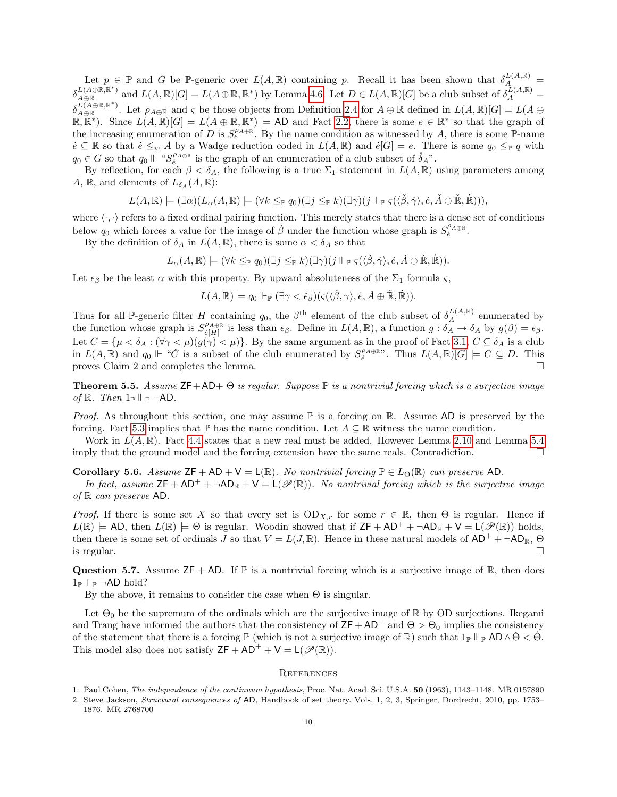Let  $p \in \mathbb{P}$  and G be P-generic over  $L(A, \mathbb{R})$  containing p. Recall it has been shown that  $\delta_A^{L(A, \mathbb{R})}$  $\delta_{A\oplus \mathbb{R}}^{L(A\oplus \mathbb{R},\mathbb{R}^*)}$  and  $L(A,\mathbb{R})[G]=L(A\oplus \mathbb{R},\mathbb{R}^*)$  by Lemma [4.6.](#page-6-3) Let  $D\in L(A,\mathbb{R})[G]$  be a club subset of  $\delta_A^{\tilde{L}(A,\mathbb{R})}=$  $\delta_{A\oplus \mathbb{R}}^{L(\widetilde{A}\oplus \mathbb{R},\mathbb{R}^*)}$ . Let  $\rho_{A\oplus \mathbb{R}}$  and  $\varsigma$  be those objects from Definition [2.4](#page-2-2) for  $A\oplus \mathbb{R}$  defined in  $L(A,\mathbb{R})[G]=L(A\oplus \mathbb{R})$  $\mathbb{R}, \mathbb{R}^*$ ). Since  $L(A, \mathbb{R})[G] = L(A \oplus \mathbb{R}, \mathbb{R}^*)$   $\models$  AD and Fact [2.2,](#page-2-1) there is some  $e \in \mathbb{R}^*$  so that the graph of the increasing enumeration of D is  $S_e^{\rho_{A\oplus R}}$ . By the name condition as witnessed by A, there is some P-name  $\dot{e} \subseteq \mathbb{R}$  so that  $\dot{e} \leq_w A$  by a Wadge reduction coded in  $L(A, \mathbb{R})$  and  $\dot{e}[G] = e$ . There is some  $q_0 \leq_{\mathbb{P}} q$  with  $q_0 \in G$  so that  $q_0 \Vdash \text{``}S_{\hat{e}}^{\rho_{A \oplus \mathbb{R}}}$  is the graph of an enumeration of a club subset of  $\check{\delta}_A$ ".

By reflection, for each  $\beta < \delta_A$ , the following is a true  $\Sigma_1$  statement in  $L(A, \mathbb{R})$  using parameters among A, R, and elements of  $L_{\delta_A}(A,\mathbb{R})$ :

$$
L(A,\mathbb{R}) \models (\exists \alpha)(L_{\alpha}(A,\mathbb{R}) \models (\forall k \leq_{\mathbb{P}} q_0)(\exists j \leq_{\mathbb{P}} k)(\exists \gamma)(j \Vdash_{\mathbb{P}} \varsigma(\langle \check{\beta}, \check{\gamma} \rangle, \dot{e}, \check{A} \oplus \check{\mathbb{R}}, \dot{\mathbb{R}}))),
$$

where  $\langle \cdot, \cdot \rangle$  refers to a fixed ordinal pairing function. This merely states that there is a dense set of conditions below  $q_0$  which forces a value for the image of  $\check{\beta}$  under the function whose graph is  $S_e^{\rho_{\check{A}\oplus\check{\mathbb{R}}}}$ .

By the definition of  $\delta_A$  in  $L(A, \mathbb{R})$ , there is some  $\alpha < \delta_A$  so that

$$
L_{\alpha}(A,\mathbb{R}) \models (\forall k \leq_{\mathbb{P}} q_0)(\exists j \leq_{\mathbb{P}} k)(\exists \gamma)(j \Vdash_{\mathbb{P}} \varsigma(\langle \check{\beta}, \check{\gamma} \rangle, \dot{e}, \check{A} \oplus \check{\mathbb{R}}, \dot{\mathbb{R}})).
$$

Let  $\epsilon_{\beta}$  be the least  $\alpha$  with this property. By upward absoluteness of the  $\Sigma_1$  formula  $\varsigma$ ,

$$
L(A,\mathbb{R}) \models q_0 \Vdash_{\mathbb{P}} (\exists \gamma < \check{\epsilon}_{\beta})(\varsigma(\langle \check{\beta}, \gamma \rangle, \dot{e}, \check{A} \oplus \check{\mathbb{R}}, \dot{\mathbb{R}})).
$$

Thus for all P-generic filter H containing  $q_0$ , the  $\beta^{\text{th}}$  element of the club subset of  $\delta_A^{L(A,\mathbb{R})}$  enumerated by the function whose graph is  $S_{\varepsilon[H]}^{\rho_{A\oplus\mathbb{R}}}$  $e_{\hat{\theta}[H]}^{\rho_{A\oplus\mathbb{R}}}$  is less than  $\epsilon_{\beta}$ . Define in  $L(A,\mathbb{R})$ , a function  $g: \delta_A \to \delta_A$  by  $g(\beta) = \epsilon_{\beta}$ . Let  $C = {\mu < \delta_A : (\forall \gamma < \mu)(g(\gamma) < \mu)}$ . By the same argument as in the proof of Fact [3.1,](#page-4-1)  $C \subseteq \delta_A$  is a club in  $L(A, \mathbb{R})$  and  $q_0 \Vdash \text{``C}$  is a subset of the club enumerated by  $S_{\hat{e}}^{\rho_{A \oplus \mathbb{R}}}$ . Thus  $L(A, \mathbb{R})[G] \models C \subseteq D$ . This proves Claim 2 and completes the lemma.

<span id="page-9-1"></span>**Theorem 5.5.** Assume  $ZF+AD+ \Theta$  is regular. Suppose  $\mathbb P$  is a nontrivial forcing which is a surjective image of R. Then  $1_{\mathbb{P}}$   $\vdash_{\mathbb{P}} \neg AD$ .

*Proof.* As throughout this section, one may assume  $\mathbb P$  is a forcing on  $\mathbb R$ . Assume AD is preserved by the forcing. Fact [5.3](#page-7-2) implies that  $\mathbb P$  has the name condition. Let  $A \subseteq \mathbb R$  witness the name condition.

Work in  $L(A, \mathbb{R})$ . Fact [4.4](#page-6-0) states that a new real must be added. However Lemma [2.10](#page-3-2) and Lemma [5.4](#page-7-3) imply that the ground model and the forcing extension have the same reals. Contradiction.

<span id="page-9-2"></span>Corollary 5.6. Assume  $\mathsf{ZF} + \mathsf{AD} + \mathsf{V} = \mathsf{L}(\mathbb{R})$ . No nontrivial forcing  $\mathbb{P} \in L_{\Theta}(\mathbb{R})$  can preserve AD.

In fact, assume  $\mathsf{ZF} + \mathsf{AD^+} + \neg \mathsf{AD}_\mathbb{R} + \mathsf{V} = \mathsf{L}(\mathscr{P}(\mathbb{R}))$ . No nontrivial forcing which is the surjective image of  $\mathbb R$  can preserve AD.

*Proof.* If there is some set X so that every set is  $OD_{X,r}$  for some  $r \in \mathbb{R}$ , then  $\Theta$  is regular. Hence if  $L(\mathbb{R}) \models$  AD, then  $L(\mathbb{R}) \models \Theta$  is regular. Woodin showed that if  $ZF + AD^+ + \neg AD_{\mathbb{R}} + V = L(\mathscr{P}(\mathbb{R}))$  holds, then there is some set of ordinals J so that  $V = L(J, \mathbb{R})$ . Hence in these natural models of  $AD^+ + \neg AD_{\mathbb{R}}$ ,  $\Theta$ is regular.  $\square$ 

Question 5.7. Assume  $ZF + AD$ . If  $\mathbb P$  is a nontrivial forcing which is a surjective image of  $\mathbb R$ , then does  $1_P \Vdash_{\mathbb{P}} \neg AD \text{ hold?}$ 

By the above, it remains to consider the case when  $\Theta$  is singular.

Let  $\Theta_0$  be the supremum of the ordinals which are the surjective image of R by OD surjections. Ikegami and Trang have informed the authors that the consistency of  $ZF + AD^+$  and  $\Theta > \Theta_0$  implies the consistency of the statement that there is a forcing  $\mathbb{P}$  (which is not a surjective image of  $\mathbb{R}$ ) such that  $1_{\mathbb{P}} \Vdash_{\mathbb{P}} \mathsf{AD} \wedge \Theta < \Theta$ . This model also does not satisfy  $ZF + AD^+ + V = L(\mathcal{P}(\mathbb{R}))$ .

#### **REFERENCES**

<span id="page-9-0"></span><sup>1.</sup> Paul Cohen, The independence of the continuum hypothesis, Proc. Nat. Acad. Sci. U.S.A. 50 (1963), 1143–1148. MR 0157890

<span id="page-9-3"></span><sup>2.</sup> Steve Jackson, Structural consequences of AD, Handbook of set theory. Vols. 1, 2, 3, Springer, Dordrecht, 2010, pp. 1753– 1876. MR 2768700